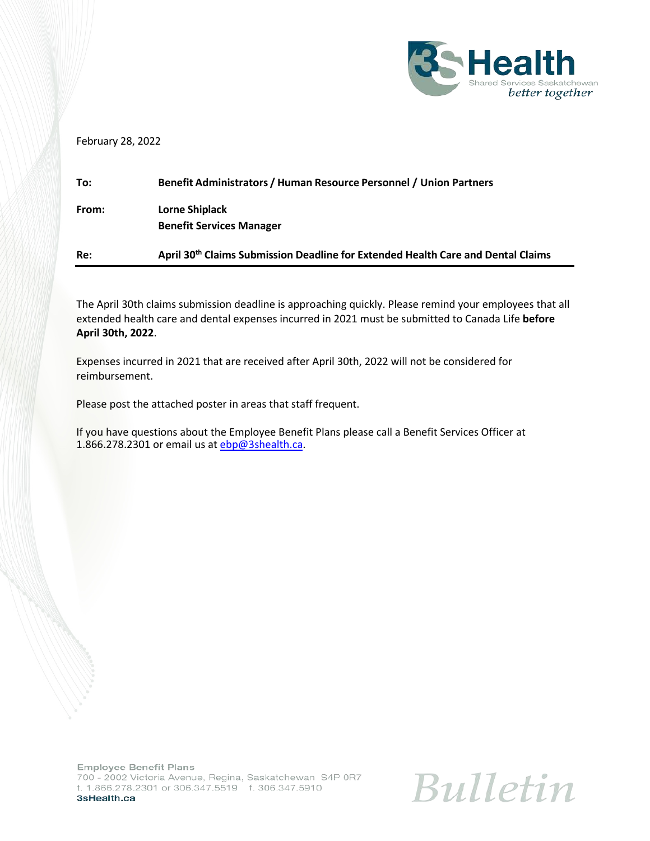

February 28, 2022

| Re:   | April 30 <sup>th</sup> Claims Submission Deadline for Extended Health Care and Dental Claims |
|-------|----------------------------------------------------------------------------------------------|
| From: | Lorne Shiplack<br><b>Benefit Services Manager</b>                                            |
| To:   | Benefit Administrators / Human Resource Personnel / Union Partners                           |

The April 30th claims submission deadline is approaching quickly. Please remind your employees that all extended health care and dental expenses incurred in 2021 must be submitted to Canada Life **before April 30th, 2022**.

Expenses incurred in 2021 that are received after April 30th, 2022 will not be considered for reimbursement.

Please post the attached poster in areas that staff frequent.

If you have questions about the Employee Benefit Plans please call a Benefit Services Officer at 1.866.278.2301 or email us at [ebp@3shealth.ca.](mailto:ebp@3shealth.ca)